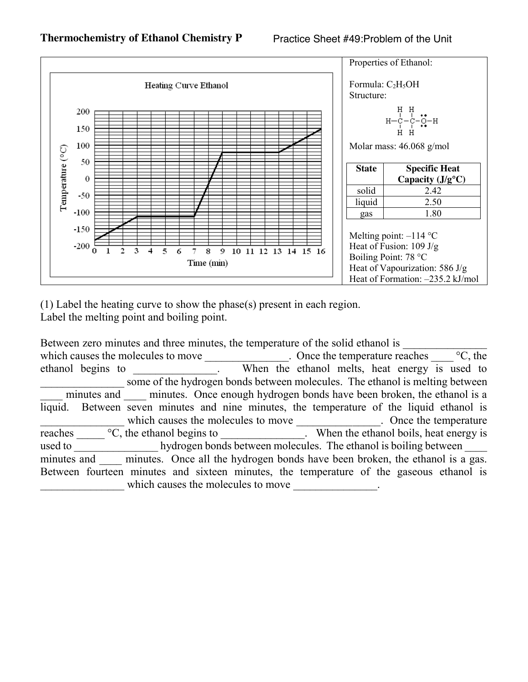

(1) Label the heating curve to show the phase(s) present in each region. Label the melting point and boiling point.

Between zero minutes and three minutes, the temperature of the solid ethanol is which causes the molecules to move \_\_\_\_\_\_\_\_\_\_\_\_\_\_. Once the temperature reaches  $\frac{\ }{\ }$  °C, the ethanol begins to ethanol melts, heat energy is used to some of the hydrogen bonds between molecules. The ethanol is melting between minutes and minutes. Once enough hydrogen bonds have been broken, the ethanol is a liquid. Between seven minutes and nine minutes, the temperature of the liquid ethanol is which causes the molecules to move . Once the temperature reaches  $\frac{\partial C}{\partial x}$ , the ethanol begins to  $\frac{\partial C}{\partial y}$ . When the ethanol boils, heat energy is used to hydrogen bonds between molecules. The ethanol is boiling between minutes and \_\_\_\_ minutes. Once all the hydrogen bonds have been broken, the ethanol is a gas. Between fourteen minutes and sixteen minutes, the temperature of the gaseous ethanol is which causes the molecules to move \_\_\_\_\_\_\_\_\_\_\_\_\_\_.